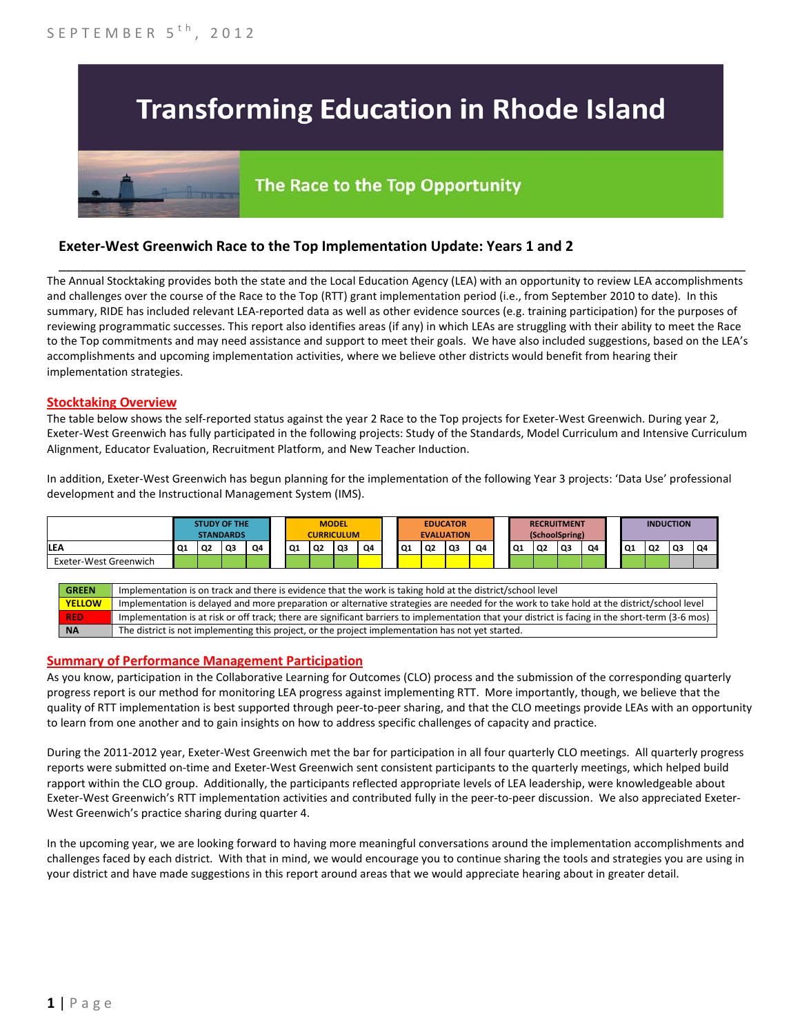# **Transforming Education in Rhode Island**

# The Race to the Top Opportunity

## **Exeter-West Greenwich Race to the Top Implementation Update: Years 1 and 2**

The Annual Stocktaking provides both the state and the Local Education Agency (LEA) with an opportunity to review LEA accomplishments and challenges over the course of the Race to the Top (RTT) grant implementation period (i.e., from September 2010 to date). In this summary, RIDE has included relevant LEA-reported data as well as other evidence sources (e.g. training participation) for the purposes of reviewing programmatic successes. This report also identifies areas (if any) in which LEAs are struggling with their ability to meet the Race to the Top commitments and may need assistance and support to meet their goals. We have also included suggestions, based on the LEA's accomplishments and upcoming implementation activities, where we believe other districts would benefit from hearing their implementation strategies.

\_\_\_\_\_\_\_\_\_\_\_\_\_\_\_\_\_\_\_\_\_\_\_\_\_\_\_\_\_\_\_\_\_\_\_\_\_\_\_\_\_\_\_\_\_\_\_\_\_\_\_\_\_\_\_\_\_\_\_\_\_\_\_\_\_\_\_\_\_\_\_\_\_\_\_\_\_\_\_\_\_\_\_\_\_\_\_\_\_\_\_\_\_\_\_\_

#### **Stocktaking Overview**

The table below shows the self-reported status against the year 2 Race to the Top projects for Exeter-West Greenwich. During year 2, Exeter-West Greenwich has fully participated in the following projects: Study of the Standards, Model Curriculum and Intensive Curriculum Alignment, Educator Evaluation, Recruitment Platform, and New Teacher Induction.

In addition, Exeter-West Greenwich has begun planning for the implementation of the following Year 3 projects: 'Data Use' professional development and the Instructional Management System (IMS).



#### **Summary of Performance Management Participation**

As you know, participation in the Collaborative Learning for Outcomes (CLO) process and the submission of the corresponding quarterly progress report is our method for monitoring LEA progress against implementing RTT. More importantly, though, we believe that the quality of RTT implementation is best supported through peer-to-peer sharing, and that the CLO meetings provide LEAs with an opportunity to learn from one another and to gain insights on how to address specific challenges of capacity and practice.

During the 2011-2012 year, Exeter-West Greenwich met the bar for participation in all four quarterly CLO meetings. All quarterly progress reports were submitted on-time and Exeter-West Greenwich sent consistent participants to the quarterly meetings, which helped build rapport within the CLO group. Additionally, the participants reflected appropriate levels of LEA leadership, were knowledgeable about Exeter-West Greenwich's RTT implementation activities and contributed fully in the peer-to-peer discussion. We also appreciated Exeter-West Greenwich's practice sharing during quarter 4.

In the upcoming year, we are looking forward to having more meaningful conversations around the implementation accomplishments and challenges faced by each district. With that in mind, we would encourage you to continue sharing the tools and strategies you are using in your district and have made suggestions in this report around areas that we would appreciate hearing about in greater detail.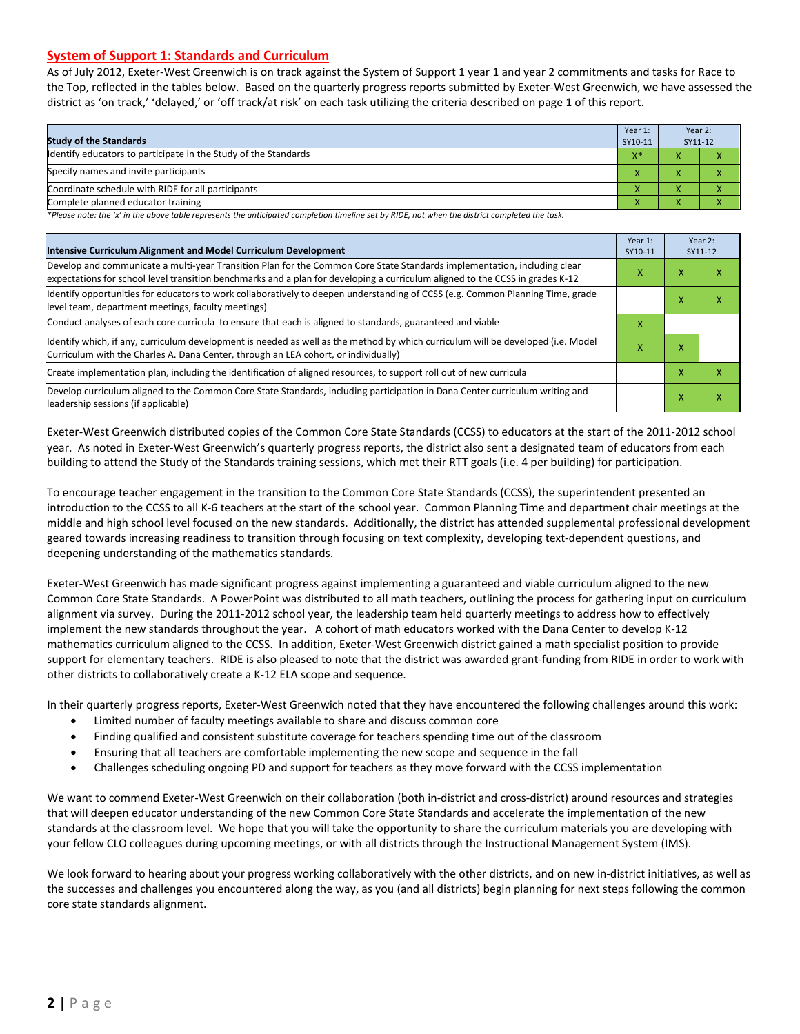#### **System of Support 1: Standards and Curriculum**

As of July 2012, Exeter-West Greenwich is on track against the System of Support 1 year 1 and year 2 commitments and tasks for Race to the Top, reflected in the tables below. Based on the quarterly progress reports submitted by Exeter-West Greenwich, we have assessed the district as 'on track,' 'delayed,' or 'off track/at risk' on each task utilizing the criteria described on page 1 of this report.

| <b>Study of the Standards</b>                                   | Year 1:<br>SY10-11 | Year 2:<br>SY11-12     |  |
|-----------------------------------------------------------------|--------------------|------------------------|--|
| Identify educators to participate in the Study of the Standards | $X^*$              |                        |  |
| Specify names and invite participants                           |                    |                        |  |
| Coordinate schedule with RIDE for all participants              |                    |                        |  |
| Complete planned educator training                              | Λ                  | $\mathbf{v}$<br>$\sim$ |  |

*\*Please note: the 'x' in the above table represents the anticipated completion timeline set by RIDE, not when the district completed the task.*

| Intensive Curriculum Alignment and Model Curriculum Development                                                                                                                                                                                           |  |   | Year 2:<br>SY11-12 |
|-----------------------------------------------------------------------------------------------------------------------------------------------------------------------------------------------------------------------------------------------------------|--|---|--------------------|
| Develop and communicate a multi-year Transition Plan for the Common Core State Standards implementation, including clear<br>expectations for school level transition benchmarks and a plan for developing a curriculum aligned to the CCSS in grades K-12 |  |   | ⋏                  |
| Identify opportunities for educators to work collaboratively to deepen understanding of CCSS (e.g. Common Planning Time, grade<br>level team, department meetings, faculty meetings)                                                                      |  | x | x                  |
| Conduct analyses of each core curricula to ensure that each is aligned to standards, guaranteed and viable                                                                                                                                                |  |   |                    |
| ldentify which, if any, curriculum development is needed as well as the method by which curriculum will be developed (i.e. Model<br>Curriculum with the Charles A. Dana Center, through an LEA cohort, or individually)                                   |  | x |                    |
| Create implementation plan, including the identification of aligned resources, to support roll out of new curricula                                                                                                                                       |  | x | x                  |
| Develop curriculum aligned to the Common Core State Standards, including participation in Dana Center curriculum writing and<br>leadership sessions (if applicable)                                                                                       |  | X | Χ                  |

Exeter-West Greenwich distributed copies of the Common Core State Standards (CCSS) to educators at the start of the 2011-2012 school year. As noted in Exeter-West Greenwich's quarterly progress reports, the district also sent a designated team of educators from each building to attend the Study of the Standards training sessions, which met their RTT goals (i.e. 4 per building) for participation.

To encourage teacher engagement in the transition to the Common Core State Standards (CCSS), the superintendent presented an introduction to the CCSS to all K-6 teachers at the start of the school year. Common Planning Time and department chair meetings at the middle and high school level focused on the new standards. Additionally, the district has attended supplemental professional development geared towards increasing readiness to transition through focusing on text complexity, developing text-dependent questions, and deepening understanding of the mathematics standards.

Exeter-West Greenwich has made significant progress against implementing a guaranteed and viable curriculum aligned to the new Common Core State Standards. A PowerPoint was distributed to all math teachers, outlining the process for gathering input on curriculum alignment via survey. During the 2011-2012 school year, the leadership team held quarterly meetings to address how to effectively implement the new standards throughout the year. A cohort of math educators worked with the Dana Center to develop K-12 mathematics curriculum aligned to the CCSS. In addition, Exeter-West Greenwich district gained a math specialist position to provide support for elementary teachers. RIDE is also pleased to note that the district was awarded grant-funding from RIDE in order to work with other districts to collaboratively create a K-12 ELA scope and sequence.

In their quarterly progress reports, Exeter-West Greenwich noted that they have encountered the following challenges around this work:

- Limited number of faculty meetings available to share and discuss common core
- Finding qualified and consistent substitute coverage for teachers spending time out of the classroom
- Ensuring that all teachers are comfortable implementing the new scope and sequence in the fall
- Challenges scheduling ongoing PD and support for teachers as they move forward with the CCSS implementation

We want to commend Exeter-West Greenwich on their collaboration (both in-district and cross-district) around resources and strategies that will deepen educator understanding of the new Common Core State Standards and accelerate the implementation of the new standards at the classroom level. We hope that you will take the opportunity to share the curriculum materials you are developing with your fellow CLO colleagues during upcoming meetings, or with all districts through the Instructional Management System (IMS).

We look forward to hearing about your progress working collaboratively with the other districts, and on new in-district initiatives, as well as the successes and challenges you encountered along the way, as you (and all districts) begin planning for next steps following the common core state standards alignment.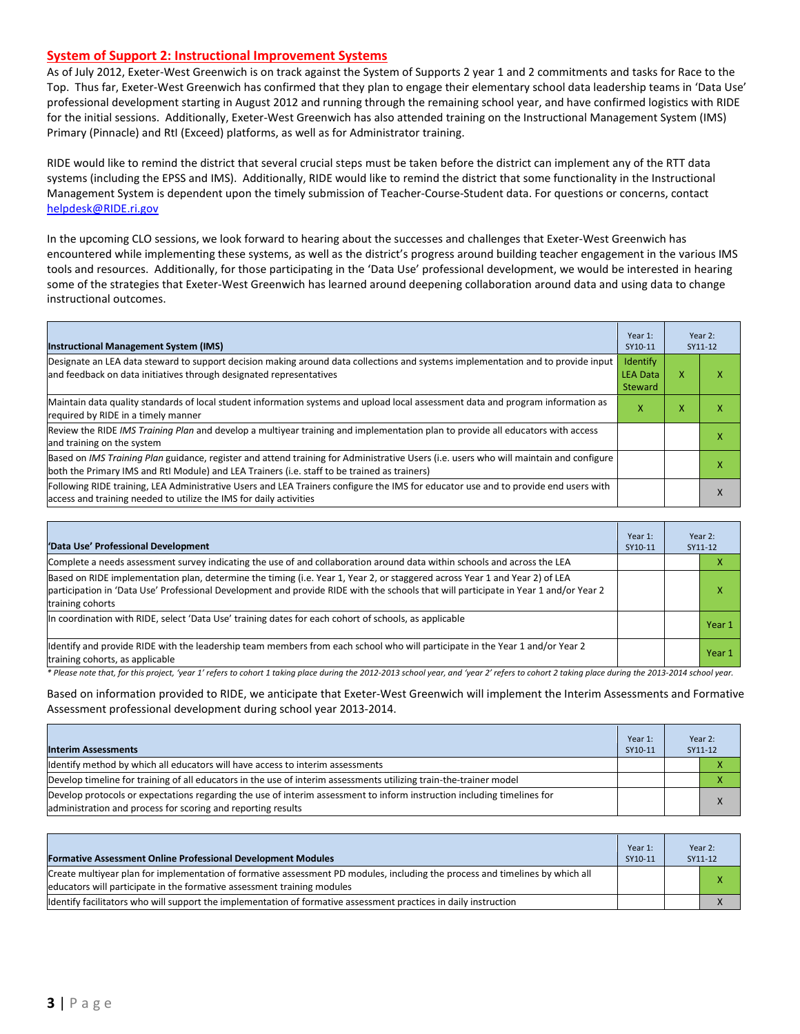#### **System of Support 2: Instructional Improvement Systems**

As of July 2012, Exeter-West Greenwich is on track against the System of Supports 2 year 1 and 2 commitments and tasks for Race to the Top. Thus far, Exeter-West Greenwich has confirmed that they plan to engage their elementary school data leadership teams in 'Data Use' professional development starting in August 2012 and running through the remaining school year, and have confirmed logistics with RIDE for the initial sessions. Additionally, Exeter-West Greenwich has also attended training on the Instructional Management System (IMS) Primary (Pinnacle) and RtI (Exceed) platforms, as well as for Administrator training.

RIDE would like to remind the district that several crucial steps must be taken before the district can implement any of the RTT data systems (including the EPSS and IMS). Additionally, RIDE would like to remind the district that some functionality in the Instructional Management System is dependent upon the timely submission of Teacher-Course-Student data. For questions or concerns, contact [helpdesk@RIDE.ri.gov](mailto:helpdesk@RIDE.ri.gov)

In the upcoming CLO sessions, we look forward to hearing about the successes and challenges that Exeter-West Greenwich has encountered while implementing these systems, as well as the district's progress around building teacher engagement in the various IMS tools and resources. Additionally, for those participating in the 'Data Use' professional development, we would be interested in hearing some of the strategies that Exeter-West Greenwich has learned around deepening collaboration around data and using data to change instructional outcomes.

| <b>Instructional Management System (IMS)</b>                                                                                                                                                                                           | Year 1:<br>SY10-11                     |   | Year 2:<br>SY11-12 |
|----------------------------------------------------------------------------------------------------------------------------------------------------------------------------------------------------------------------------------------|----------------------------------------|---|--------------------|
| Designate an LEA data steward to support decision making around data collections and systems implementation and to provide input<br>and feedback on data initiatives through designated representatives                                | Identify<br><b>LEA Data</b><br>Steward | X |                    |
| Maintain data quality standards of local student information systems and upload local assessment data and program information as<br>required by RIDE in a timely manner                                                                |                                        | x |                    |
| Review the RIDE IMS Training Plan and develop a multiyear training and implementation plan to provide all educators with access<br>and training on the system                                                                          |                                        |   |                    |
| Based on IMS Training Plan guidance, register and attend training for Administrative Users (i.e. users who will maintain and configure<br>both the Primary IMS and RtI Module) and LEA Trainers (i.e. staff to be trained as trainers) |                                        |   |                    |
| Following RIDE training, LEA Administrative Users and LEA Trainers configure the IMS for educator use and to provide end users with<br>access and training needed to utilize the IMS for daily activities                              |                                        |   |                    |

| 'Data Use' Professional Development                                                                                                                                                                                                                                                     | Year 1:<br>SY10-11 | Year 2:<br>SY11-12 |
|-----------------------------------------------------------------------------------------------------------------------------------------------------------------------------------------------------------------------------------------------------------------------------------------|--------------------|--------------------|
| Complete a needs assessment survey indicating the use of and collaboration around data within schools and across the LEA                                                                                                                                                                |                    | ⋏                  |
| Based on RIDE implementation plan, determine the timing (i.e. Year 1, Year 2, or staggered across Year 1 and Year 2) of LEA<br>participation in 'Data Use' Professional Development and provide RIDE with the schools that will participate in Year 1 and/or Year 2<br>training cohorts |                    | x                  |
| In coordination with RIDE, select 'Data Use' training dates for each cohort of schools, as applicable                                                                                                                                                                                   |                    | Year 1             |
| Identify and provide RIDE with the leadership team members from each school who will participate in the Year 1 and/or Year 2<br>training cohorts, as applicable                                                                                                                         |                    | Year 1             |

*\* Please note that, for this project, 'year 1' refers to cohort 1 taking place during the 2012-2013 school year, and 'year 2' refers to cohort 2 taking place during the 2013-2014 school year.*

Based on information provided to RIDE, we anticipate that Exeter-West Greenwich will implement the Interim Assessments and Formative Assessment professional development during school year 2013-2014.

| <b>Interim Assessments</b>                                                                                                                                                              | Year 1:<br>SY10-11 | Year 2:<br>SY11-12 |
|-----------------------------------------------------------------------------------------------------------------------------------------------------------------------------------------|--------------------|--------------------|
| Identify method by which all educators will have access to interim assessments                                                                                                          |                    |                    |
| Develop timeline for training of all educators in the use of interim assessments utilizing train-the-trainer model                                                                      |                    |                    |
| Develop protocols or expectations regarding the use of interim assessment to inform instruction including timelines for<br>administration and process for scoring and reporting results |                    |                    |

| <b>Formative Assessment Online Professional Development Modules</b>                                                                                                                                      | Year 1:<br>SY10-11 | Year 2:<br>SY11-12 |
|----------------------------------------------------------------------------------------------------------------------------------------------------------------------------------------------------------|--------------------|--------------------|
| Create multivear plan for implementation of formative assessment PD modules, including the process and timelines by which all<br>educators will participate in the formative assessment training modules |                    |                    |
| ldentify facilitators who will support the implementation of formative assessment practices in daily instruction                                                                                         |                    |                    |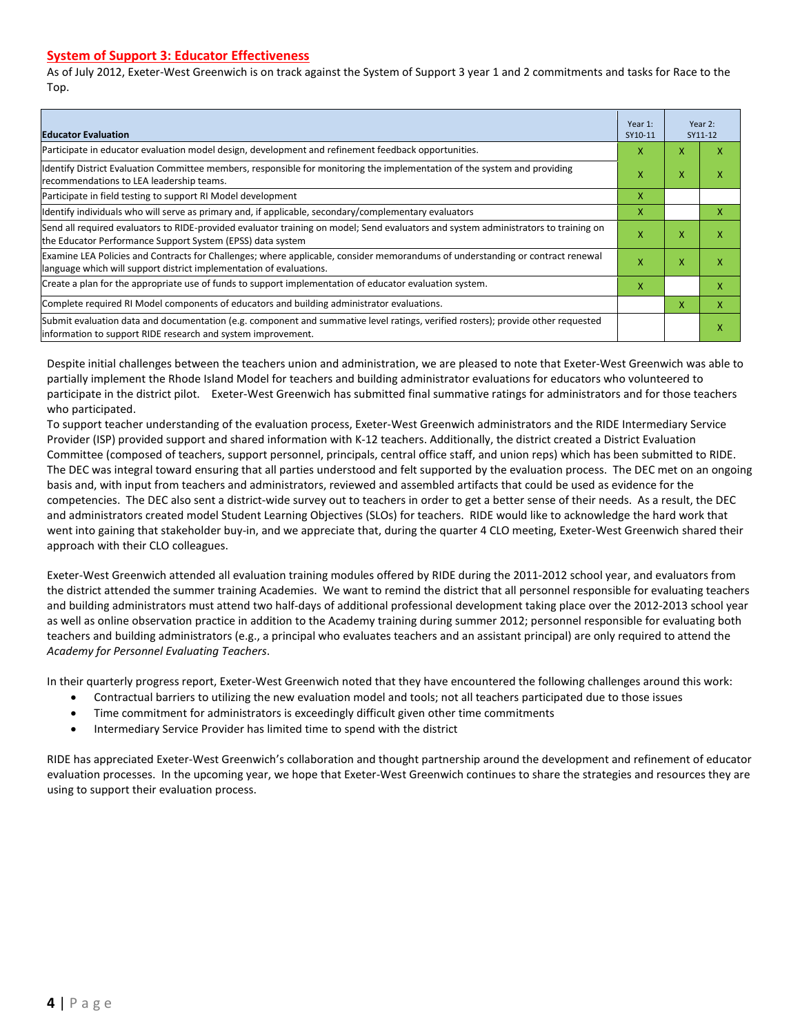#### **System of Support 3: Educator Effectiveness**

As of July 2012, Exeter-West Greenwich is on track against the System of Support 3 year 1 and 2 commitments and tasks for Race to the Top.

| <b>Educator Evaluation</b>                                                                                                                                                                            |   |   | Year 2:<br>SY11-12 |
|-------------------------------------------------------------------------------------------------------------------------------------------------------------------------------------------------------|---|---|--------------------|
| Participate in educator evaluation model design, development and refinement feedback opportunities.                                                                                                   | x | x |                    |
| Identify District Evaluation Committee members, responsible for monitoring the implementation of the system and providing<br>recommendations to LEA leadership teams.                                 | x |   | х                  |
| Participate in field testing to support RI Model development                                                                                                                                          | x |   |                    |
| ldentify individuals who will serve as primary and, if applicable, secondary/complementary evaluators                                                                                                 | x |   | x                  |
| Send all required evaluators to RIDE-provided evaluator training on model; Send evaluators and system administrators to training on<br>the Educator Performance Support System (EPSS) data system     | x | X | x                  |
| Examine LEA Policies and Contracts for Challenges; where applicable, consider memorandums of understanding or contract renewal<br>language which will support district implementation of evaluations. |   | X | x                  |
| Create a plan for the appropriate use of funds to support implementation of educator evaluation system.                                                                                               |   |   | ж                  |
| Complete required RI Model components of educators and building administrator evaluations.                                                                                                            |   |   | x                  |
| Submit evaluation data and documentation (e.g. component and summative level ratings, verified rosters); provide other requested<br>information to support RIDE research and system improvement.      |   |   | x                  |

Despite initial challenges between the teachers union and administration, we are pleased to note that Exeter-West Greenwich was able to partially implement the Rhode Island Model for teachers and building administrator evaluations for educators who volunteered to participate in the district pilot. Exeter-West Greenwich has submitted final summative ratings for administrators and for those teachers who participated.

To support teacher understanding of the evaluation process, Exeter-West Greenwich administrators and the RIDE Intermediary Service Provider (ISP) provided support and shared information with K-12 teachers. Additionally, the district created a District Evaluation Committee (composed of teachers, support personnel, principals, central office staff, and union reps) which has been submitted to RIDE. The DEC was integral toward ensuring that all parties understood and felt supported by the evaluation process. The DEC met on an ongoing basis and, with input from teachers and administrators, reviewed and assembled artifacts that could be used as evidence for the competencies. The DEC also sent a district-wide survey out to teachers in order to get a better sense of their needs. As a result, the DEC and administrators created model Student Learning Objectives (SLOs) for teachers. RIDE would like to acknowledge the hard work that went into gaining that stakeholder buy-in, and we appreciate that, during the quarter 4 CLO meeting, Exeter-West Greenwich shared their approach with their CLO colleagues.

Exeter-West Greenwich attended all evaluation training modules offered by RIDE during the 2011-2012 school year, and evaluators from the district attended the summer training Academies. We want to remind the district that all personnel responsible for evaluating teachers and building administrators must attend two half-days of additional professional development taking place over the 2012-2013 school year as well as online observation practice in addition to the Academy training during summer 2012; personnel responsible for evaluating both teachers and building administrators (e.g., a principal who evaluates teachers and an assistant principal) are only required to attend the *Academy for Personnel Evaluating Teachers*.

In their quarterly progress report, Exeter-West Greenwich noted that they have encountered the following challenges around this work:

- Contractual barriers to utilizing the new evaluation model and tools; not all teachers participated due to those issues
- Time commitment for administrators is exceedingly difficult given other time commitments
- Intermediary Service Provider has limited time to spend with the district

RIDE has appreciated Exeter-West Greenwich's collaboration and thought partnership around the development and refinement of educator evaluation processes. In the upcoming year, we hope that Exeter-West Greenwich continues to share the strategies and resources they are using to support their evaluation process.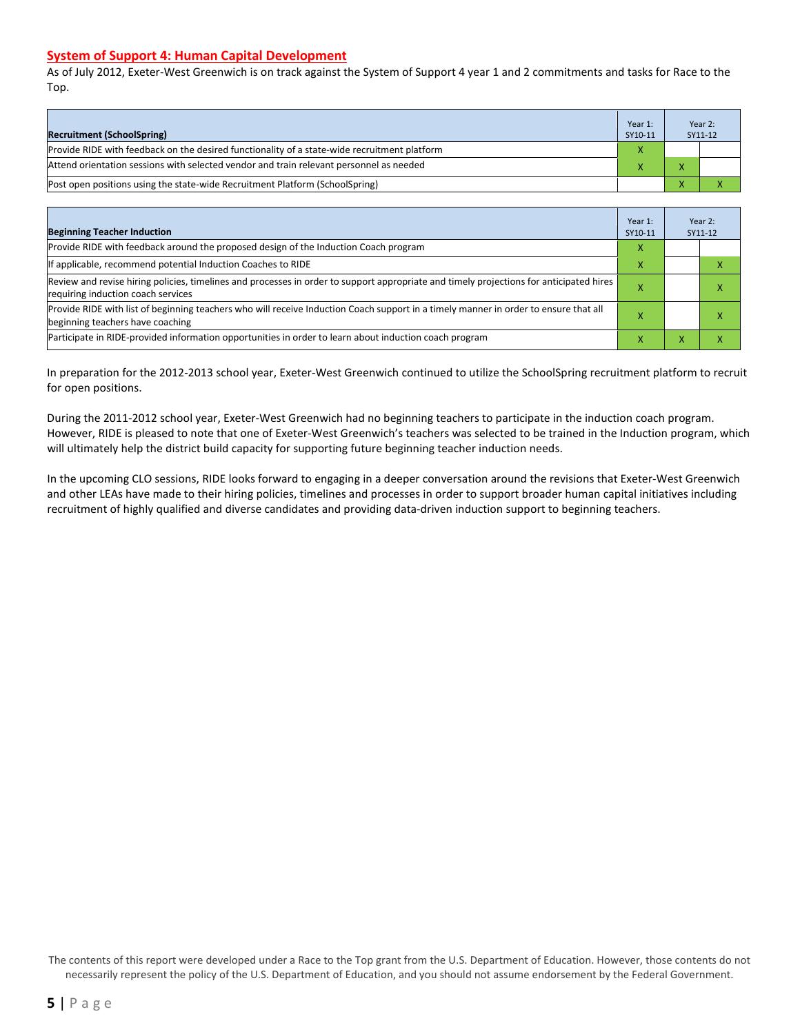#### **System of Support 4: Human Capital Development**

As of July 2012, Exeter-West Greenwich is on track against the System of Support 4 year 1 and 2 commitments and tasks for Race to the Top.

| <b>Recruitment (SchoolSpring)</b>                                                            | Year 1:<br>SY10-11 |                | Year 2:<br>SY11-12 |
|----------------------------------------------------------------------------------------------|--------------------|----------------|--------------------|
| Provide RIDE with feedback on the desired functionality of a state-wide recruitment platform |                    |                |                    |
| Attend orientation sessions with selected vendor and train relevant personnel as needed      |                    | $\overline{ }$ |                    |
| [Post open positions using the state-wide Recruitment Platform (SchoolSpring)                |                    |                |                    |

| <b>Beginning Teacher Induction</b>                                                                                                                                            | Year 1:<br>SY10-11 |              | Year 2:<br>SY11-12 |
|-------------------------------------------------------------------------------------------------------------------------------------------------------------------------------|--------------------|--------------|--------------------|
| Provide RIDE with feedback around the proposed design of the Induction Coach program                                                                                          | X                  |              |                    |
| If applicable, recommend potential Induction Coaches to RIDE                                                                                                                  | x                  |              |                    |
| Review and revise hiring policies, timelines and processes in order to support appropriate and timely projections for anticipated hires<br>requiring induction coach services |                    |              |                    |
| Provide RIDE with list of beginning teachers who will receive Induction Coach support in a timely manner in order to ensure that all<br>beginning teachers have coaching      |                    |              |                    |
| Participate in RIDE-provided information opportunities in order to learn about induction coach program                                                                        | $\lambda$          | $\mathbf{v}$ |                    |

In preparation for the 2012-2013 school year, Exeter-West Greenwich continued to utilize the SchoolSpring recruitment platform to recruit for open positions.

During the 2011-2012 school year, Exeter-West Greenwich had no beginning teachers to participate in the induction coach program. However, RIDE is pleased to note that one of Exeter-West Greenwich's teachers was selected to be trained in the Induction program, which will ultimately help the district build capacity for supporting future beginning teacher induction needs.

In the upcoming CLO sessions, RIDE looks forward to engaging in a deeper conversation around the revisions that Exeter-West Greenwich and other LEAs have made to their hiring policies, timelines and processes in order to support broader human capital initiatives including recruitment of highly qualified and diverse candidates and providing data-driven induction support to beginning teachers.

The contents of this report were developed under a Race to the Top grant from the U.S. Department of Education. However, those contents do not necessarily represent the policy of the U.S. Department of Education, and you should not assume endorsement by the Federal Government.